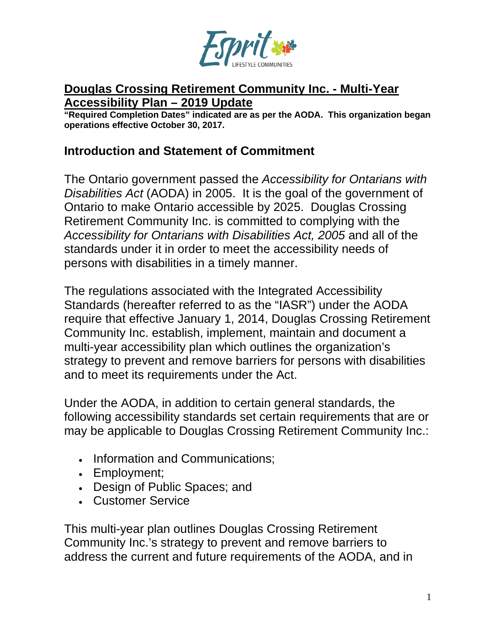

#### **Douglas Crossing Retirement Community Inc. - Multi-Year Accessibility Plan – 2019 Update**

**"Required Completion Dates" indicated are as per the AODA. This organization began operations effective October 30, 2017.**

#### **Introduction and Statement of Commitment**

The Ontario government passed the *Accessibility for Ontarians with Disabilities Act* (AODA) in 2005. It is the goal of the government of Ontario to make Ontario accessible by 2025. Douglas Crossing Retirement Community Inc. is committed to complying with the *Accessibility for Ontarians with Disabilities Act, 2005* and all of the standards under it in order to meet the accessibility needs of persons with disabilities in a timely manner.

The regulations associated with the Integrated Accessibility Standards (hereafter referred to as the "IASR") under the AODA require that effective January 1, 2014, Douglas Crossing Retirement Community Inc. establish, implement, maintain and document a multi-year accessibility plan which outlines the organization's strategy to prevent and remove barriers for persons with disabilities and to meet its requirements under the Act.

Under the AODA, in addition to certain general standards, the following accessibility standards set certain requirements that are or may be applicable to Douglas Crossing Retirement Community Inc.:

- Information and Communications;
- Employment;
- Design of Public Spaces; and
- Customer Service

This multi-year plan outlines Douglas Crossing Retirement Community Inc.'s strategy to prevent and remove barriers to address the current and future requirements of the AODA, and in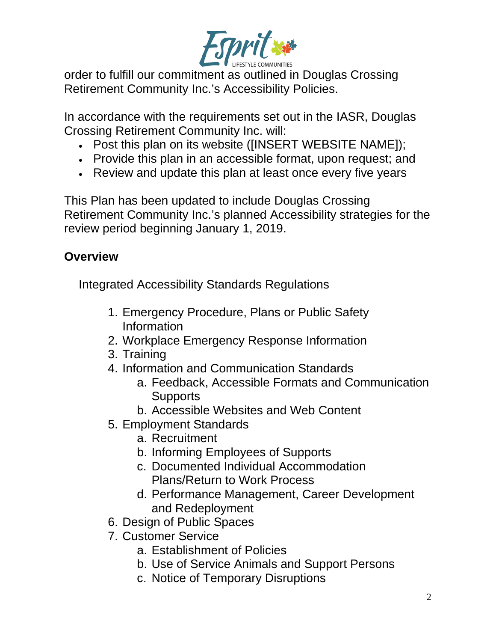

order to fulfill our commitment as outlined in Douglas Crossing Retirement Community Inc.'s Accessibility Policies.

In accordance with the requirements set out in the IASR, Douglas Crossing Retirement Community Inc. will:

- Post this plan on its website ([INSERT WEBSITE NAME]);
- Provide this plan in an accessible format, upon request; and
- Review and update this plan at least once every five years

This Plan has been updated to include Douglas Crossing Retirement Community Inc.'s planned Accessibility strategies for the review period beginning January 1, 2019.

# **Overview**

Integrated Accessibility Standards Regulations

- 1. Emergency Procedure, Plans or Public Safety Information
- 2. Workplace Emergency Response Information
- 3. Training
- 4. Information and Communication Standards
	- a. Feedback, Accessible Formats and Communication **Supports**
	- b. Accessible Websites and Web Content
- 5. Employment Standards
	- a. Recruitment
	- b. Informing Employees of Supports
	- c. Documented Individual Accommodation Plans/Return to Work Process
	- d. Performance Management, Career Development and Redeployment
- 6. Design of Public Spaces
- 7. Customer Service
	- a. Establishment of Policies
	- b. Use of Service Animals and Support Persons
	- c. Notice of Temporary Disruptions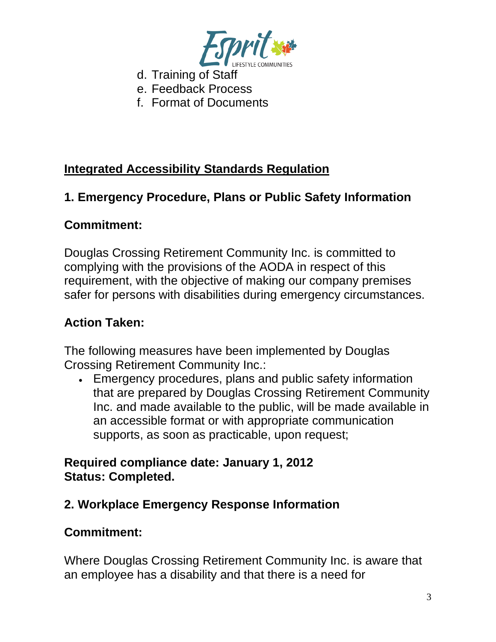

- d. Training of Staff
- e. Feedback Process
- f. Format of Documents

# **Integrated Accessibility Standards Regulation**

# **1. Emergency Procedure, Plans or Public Safety Information**

### **Commitment:**

Douglas Crossing Retirement Community Inc. is committed to complying with the provisions of the AODA in respect of this requirement, with the objective of making our company premises safer for persons with disabilities during emergency circumstances.

### **Action Taken:**

The following measures have been implemented by Douglas Crossing Retirement Community Inc.:

• Emergency procedures, plans and public safety information that are prepared by Douglas Crossing Retirement Community Inc. and made available to the public, will be made available in an accessible format or with appropriate communication supports, as soon as practicable, upon request;

### **Required compliance date: January 1, 2012 Status: Completed.**

# **2. Workplace Emergency Response Information**

### **Commitment:**

Where Douglas Crossing Retirement Community Inc. is aware that an employee has a disability and that there is a need for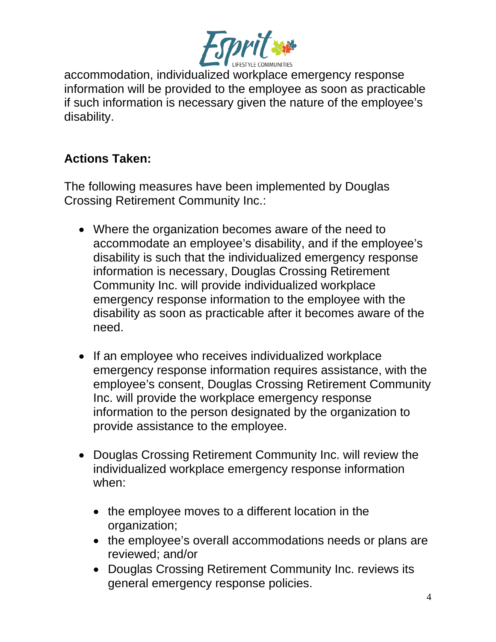

accommodation, individualized workplace emergency response information will be provided to the employee as soon as practicable if such information is necessary given the nature of the employee's disability.

# **Actions Taken:**

The following measures have been implemented by Douglas Crossing Retirement Community Inc.:

- Where the organization becomes aware of the need to accommodate an employee's disability, and if the employee's disability is such that the individualized emergency response information is necessary, Douglas Crossing Retirement Community Inc. will provide individualized workplace emergency response information to the employee with the disability as soon as practicable after it becomes aware of the need.
- If an employee who receives individualized workplace emergency response information requires assistance, with the employee's consent, Douglas Crossing Retirement Community Inc. will provide the workplace emergency response information to the person designated by the organization to provide assistance to the employee.
- Douglas Crossing Retirement Community Inc. will review the individualized workplace emergency response information when:
	- the employee moves to a different location in the organization;
	- the employee's overall accommodations needs or plans are reviewed; and/or
	- Douglas Crossing Retirement Community Inc. reviews its general emergency response policies.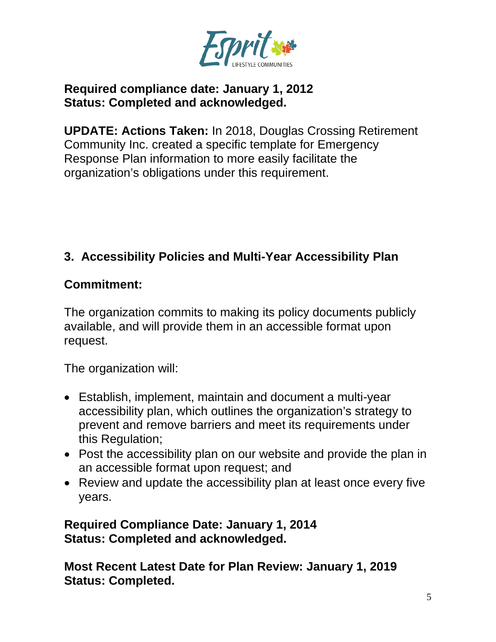

### **Required compliance date: January 1, 2012 Status: Completed and acknowledged.**

**UPDATE: Actions Taken:** In 2018, Douglas Crossing Retirement Community Inc. created a specific template for Emergency Response Plan information to more easily facilitate the organization's obligations under this requirement.

# **3. Accessibility Policies and Multi-Year Accessibility Plan**

### **Commitment:**

The organization commits to making its policy documents publicly available, and will provide them in an accessible format upon request.

The organization will:

- Establish, implement, maintain and document a multi-year accessibility plan, which outlines the organization's strategy to prevent and remove barriers and meet its requirements under this Regulation;
- Post the accessibility plan on our website and provide the plan in an accessible format upon request; and
- Review and update the accessibility plan at least once every five years.

**Required Compliance Date: January 1, 2014 Status: Completed and acknowledged.**

**Most Recent Latest Date for Plan Review: January 1, 2019 Status: Completed.**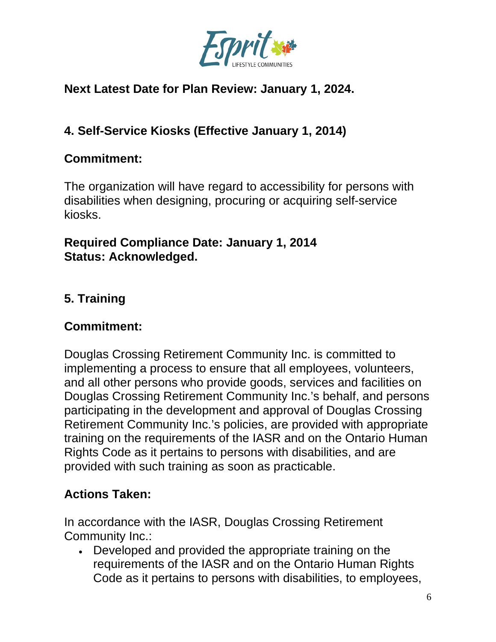

# **Next Latest Date for Plan Review: January 1, 2024.**

# **4. Self-Service Kiosks (Effective January 1, 2014)**

### **Commitment:**

The organization will have regard to accessibility for persons with disabilities when designing, procuring or acquiring self-service kiosks.

### **Required Compliance Date: January 1, 2014 Status: Acknowledged.**

# **5. Training**

# **Commitment:**

Douglas Crossing Retirement Community Inc. is committed to implementing a process to ensure that all employees, volunteers, and all other persons who provide goods, services and facilities on Douglas Crossing Retirement Community Inc.'s behalf, and persons participating in the development and approval of Douglas Crossing Retirement Community Inc.'s policies, are provided with appropriate training on the requirements of the IASR and on the Ontario Human Rights Code as it pertains to persons with disabilities, and are provided with such training as soon as practicable.

# **Actions Taken:**

In accordance with the IASR, Douglas Crossing Retirement Community Inc.:

• Developed and provided the appropriate training on the requirements of the IASR and on the Ontario Human Rights Code as it pertains to persons with disabilities, to employees,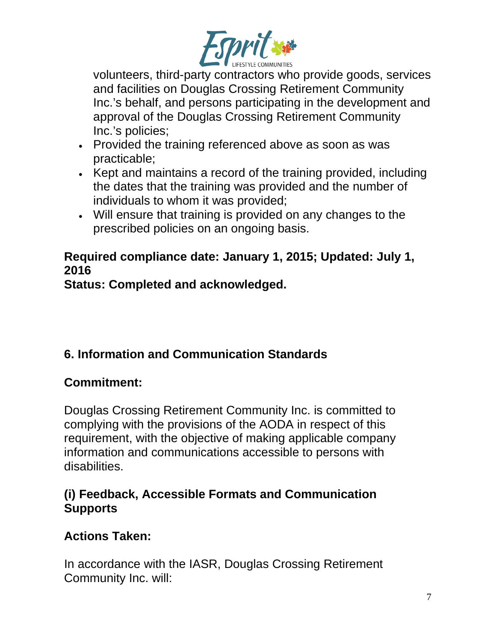

volunteers, third-party contractors who provide goods, services and facilities on Douglas Crossing Retirement Community Inc.'s behalf, and persons participating in the development and approval of the Douglas Crossing Retirement Community Inc.'s policies;

- Provided the training referenced above as soon as was practicable;
- Kept and maintains a record of the training provided, including the dates that the training was provided and the number of individuals to whom it was provided;
- Will ensure that training is provided on any changes to the prescribed policies on an ongoing basis.

# **Required compliance date: January 1, 2015; Updated: July 1, 2016**

**Status: Completed and acknowledged.**

# **6. Information and Communication Standards**

# **Commitment:**

Douglas Crossing Retirement Community Inc. is committed to complying with the provisions of the AODA in respect of this requirement, with the objective of making applicable company information and communications accessible to persons with disabilities.

# **(i) Feedback, Accessible Formats and Communication Supports**

# **Actions Taken:**

In accordance with the IASR, Douglas Crossing Retirement Community Inc. will: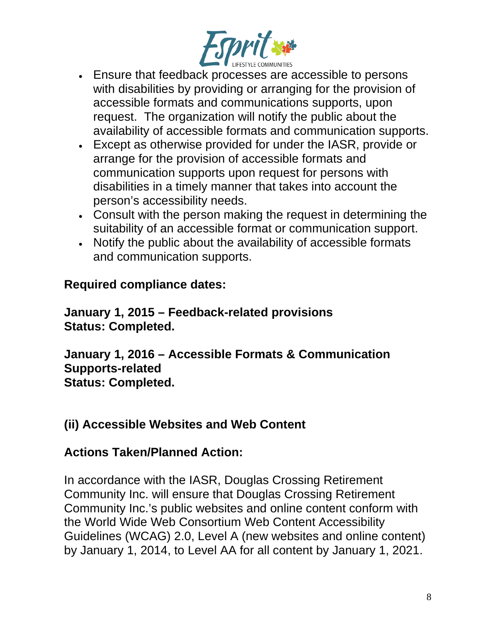

- Ensure that feedback processes are accessible to persons with disabilities by providing or arranging for the provision of accessible formats and communications supports, upon request. The organization will notify the public about the availability of accessible formats and communication supports.
- Except as otherwise provided for under the IASR, provide or arrange for the provision of accessible formats and communication supports upon request for persons with disabilities in a timely manner that takes into account the person's accessibility needs.
- Consult with the person making the request in determining the suitability of an accessible format or communication support.
- Notify the public about the availability of accessible formats and communication supports.

### **Required compliance dates:**

**January 1, 2015 – Feedback-related provisions Status: Completed.**

**January 1, 2016 – Accessible Formats & Communication Supports-related Status: Completed.**

### **(ii) Accessible Websites and Web Content**

#### **Actions Taken/Planned Action:**

In accordance with the IASR, Douglas Crossing Retirement Community Inc. will ensure that Douglas Crossing Retirement Community Inc.'s public websites and online content conform with the World Wide Web Consortium Web Content Accessibility Guidelines (WCAG) 2.0, Level A (new websites and online content) by January 1, 2014, to Level AA for all content by January 1, 2021.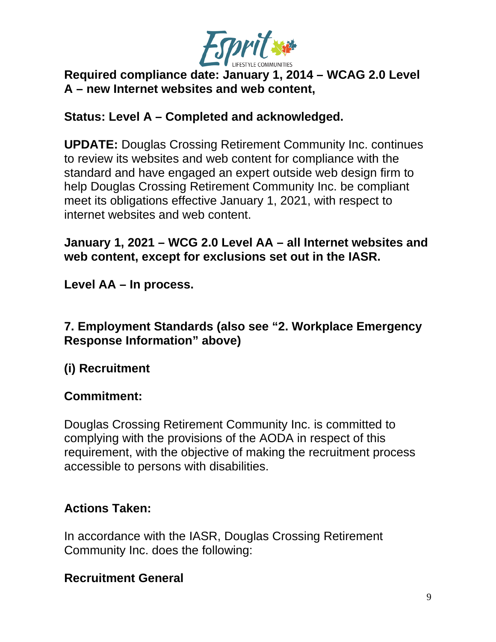

### **Required compliance date: January 1, 2014 – WCAG 2.0 Level A – new Internet websites and web content,**

### **Status: Level A – Completed and acknowledged.**

**UPDATE:** Douglas Crossing Retirement Community Inc. continues to review its websites and web content for compliance with the standard and have engaged an expert outside web design firm to help Douglas Crossing Retirement Community Inc. be compliant meet its obligations effective January 1, 2021, with respect to internet websites and web content.

### **January 1, 2021 – WCG 2.0 Level AA – all Internet websites and web content, except for exclusions set out in the IASR.**

**Level AA – In process.**

### **7. Employment Standards (also see "2. Workplace Emergency Response Information" above)**

# **(i) Recruitment**

### **Commitment:**

Douglas Crossing Retirement Community Inc. is committed to complying with the provisions of the AODA in respect of this requirement, with the objective of making the recruitment process accessible to persons with disabilities.

# **Actions Taken:**

In accordance with the IASR, Douglas Crossing Retirement Community Inc. does the following:

# **Recruitment General**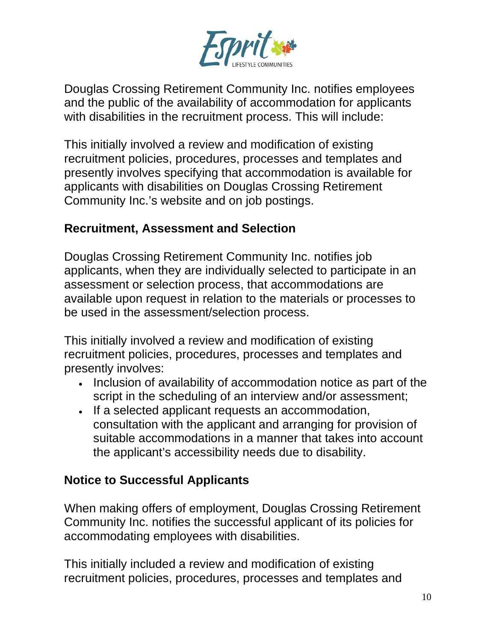

Douglas Crossing Retirement Community Inc. notifies employees and the public of the availability of accommodation for applicants with disabilities in the recruitment process. This will include:

This initially involved a review and modification of existing recruitment policies, procedures, processes and templates and presently involves specifying that accommodation is available for applicants with disabilities on Douglas Crossing Retirement Community Inc.'s website and on job postings.

### **Recruitment, Assessment and Selection**

Douglas Crossing Retirement Community Inc. notifies job applicants, when they are individually selected to participate in an assessment or selection process, that accommodations are available upon request in relation to the materials or processes to be used in the assessment/selection process.

This initially involved a review and modification of existing recruitment policies, procedures, processes and templates and presently involves:

- Inclusion of availability of accommodation notice as part of the script in the scheduling of an interview and/or assessment;
- If a selected applicant requests an accommodation, consultation with the applicant and arranging for provision of suitable accommodations in a manner that takes into account the applicant's accessibility needs due to disability.

### **Notice to Successful Applicants**

When making offers of employment, Douglas Crossing Retirement Community Inc. notifies the successful applicant of its policies for accommodating employees with disabilities.

This initially included a review and modification of existing recruitment policies, procedures, processes and templates and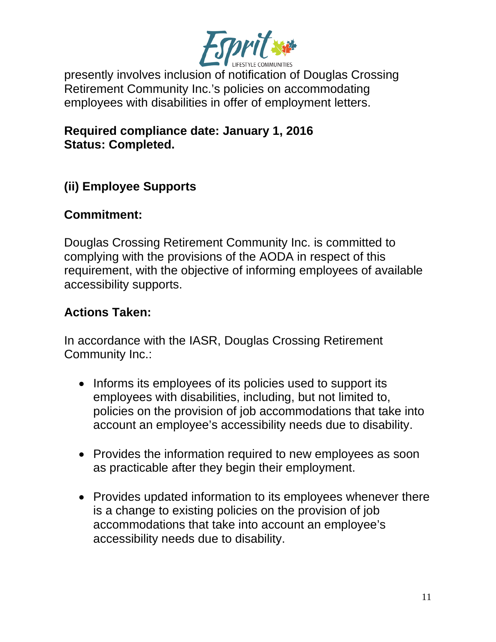

presently involves inclusion of notification of Douglas Crossing Retirement Community Inc.'s policies on accommodating employees with disabilities in offer of employment letters.

#### **Required compliance date: January 1, 2016 Status: Completed.**

# **(ii) Employee Supports**

### **Commitment:**

Douglas Crossing Retirement Community Inc. is committed to complying with the provisions of the AODA in respect of this requirement, with the objective of informing employees of available accessibility supports.

### **Actions Taken:**

In accordance with the IASR, Douglas Crossing Retirement Community Inc.:

- Informs its employees of its policies used to support its employees with disabilities, including, but not limited to, policies on the provision of job accommodations that take into account an employee's accessibility needs due to disability.
- Provides the information required to new employees as soon as practicable after they begin their employment.
- Provides updated information to its employees whenever there is a change to existing policies on the provision of job accommodations that take into account an employee's accessibility needs due to disability.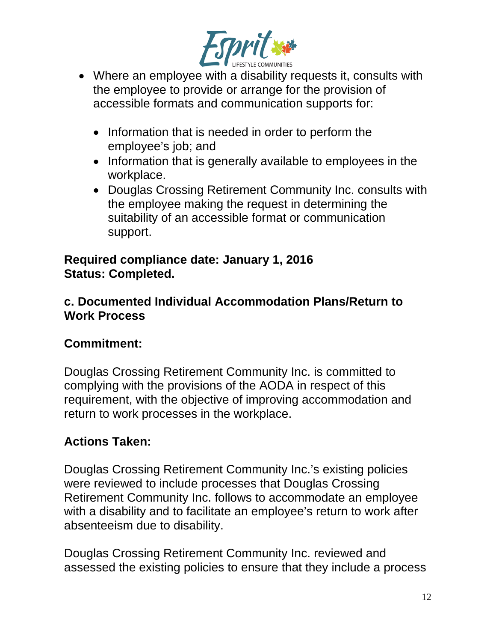

- Where an employee with a disability requests it, consults with the employee to provide or arrange for the provision of accessible formats and communication supports for:
	- Information that is needed in order to perform the employee's job; and
	- Information that is generally available to employees in the workplace.
	- Douglas Crossing Retirement Community Inc. consults with the employee making the request in determining the suitability of an accessible format or communication support.

### **Required compliance date: January 1, 2016 Status: Completed.**

### **c. Documented Individual Accommodation Plans/Return to Work Process**

# **Commitment:**

Douglas Crossing Retirement Community Inc. is committed to complying with the provisions of the AODA in respect of this requirement, with the objective of improving accommodation and return to work processes in the workplace.

# **Actions Taken:**

Douglas Crossing Retirement Community Inc.'s existing policies were reviewed to include processes that Douglas Crossing Retirement Community Inc. follows to accommodate an employee with a disability and to facilitate an employee's return to work after absenteeism due to disability.

Douglas Crossing Retirement Community Inc. reviewed and assessed the existing policies to ensure that they include a process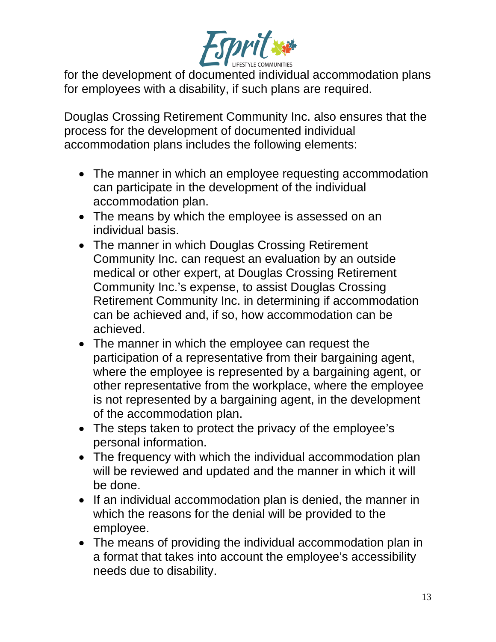

for the development of documented individual accommodation plans for employees with a disability, if such plans are required.

Douglas Crossing Retirement Community Inc. also ensures that the process for the development of documented individual accommodation plans includes the following elements:

- The manner in which an employee requesting accommodation can participate in the development of the individual accommodation plan.
- The means by which the employee is assessed on an individual basis.
- The manner in which Douglas Crossing Retirement Community Inc. can request an evaluation by an outside medical or other expert, at Douglas Crossing Retirement Community Inc.'s expense, to assist Douglas Crossing Retirement Community Inc. in determining if accommodation can be achieved and, if so, how accommodation can be achieved.
- The manner in which the employee can request the participation of a representative from their bargaining agent, where the employee is represented by a bargaining agent, or other representative from the workplace, where the employee is not represented by a bargaining agent, in the development of the accommodation plan.
- The steps taken to protect the privacy of the employee's personal information.
- The frequency with which the individual accommodation plan will be reviewed and updated and the manner in which it will be done.
- If an individual accommodation plan is denied, the manner in which the reasons for the denial will be provided to the employee.
- The means of providing the individual accommodation plan in a format that takes into account the employee's accessibility needs due to disability.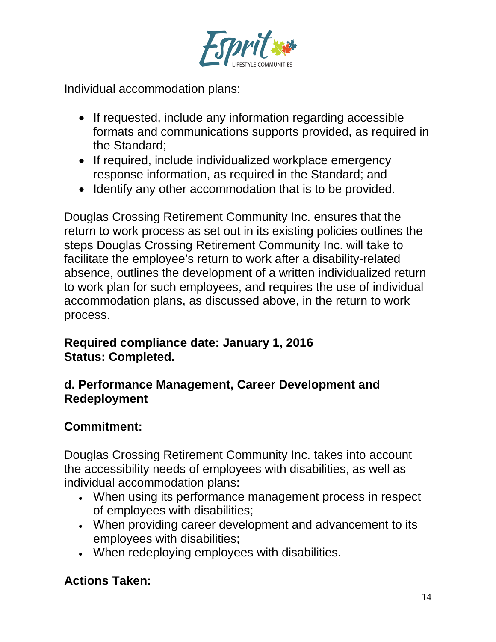

Individual accommodation plans:

- If requested, include any information regarding accessible formats and communications supports provided, as required in the Standard;
- If required, include individualized workplace emergency response information, as required in the Standard; and
- Identify any other accommodation that is to be provided.

Douglas Crossing Retirement Community Inc. ensures that the return to work process as set out in its existing policies outlines the steps Douglas Crossing Retirement Community Inc. will take to facilitate the employee's return to work after a disability-related absence, outlines the development of a written individualized return to work plan for such employees, and requires the use of individual accommodation plans, as discussed above, in the return to work process.

### **Required compliance date: January 1, 2016 Status: Completed.**

### **d. Performance Management, Career Development and Redeployment**

# **Commitment:**

Douglas Crossing Retirement Community Inc. takes into account the accessibility needs of employees with disabilities, as well as individual accommodation plans:

- When using its performance management process in respect of employees with disabilities;
- When providing career development and advancement to its employees with disabilities;
- When redeploying employees with disabilities.

# **Actions Taken:**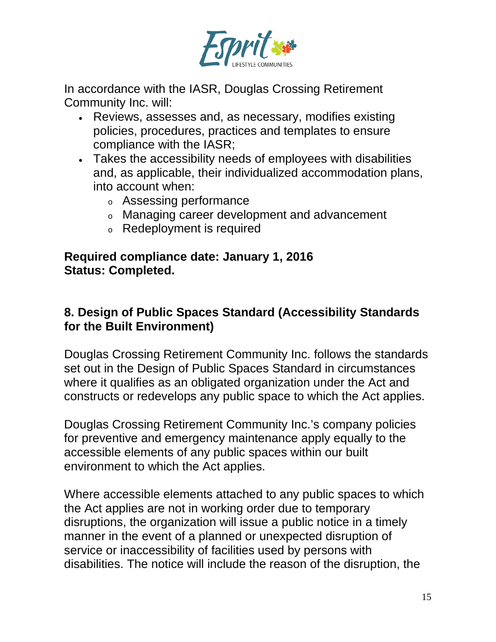

In accordance with the IASR, Douglas Crossing Retirement Community Inc. will:

- Reviews, assesses and, as necessary, modifies existing policies, procedures, practices and templates to ensure compliance with the IASR;
- Takes the accessibility needs of employees with disabilities and, as applicable, their individualized accommodation plans, into account when:
	- <sup>o</sup> Assessing performance
	- <sup>o</sup> Managing career development and advancement
	- <sup>o</sup> Redeployment is required

#### **Required compliance date: January 1, 2016 Status: Completed.**

### **8. Design of Public Spaces Standard (Accessibility Standards for the Built Environment)**

Douglas Crossing Retirement Community Inc. follows the standards set out in the Design of Public Spaces Standard in circumstances where it qualifies as an obligated organization under the Act and constructs or redevelops any public space to which the Act applies.

Douglas Crossing Retirement Community Inc.'s company policies for preventive and emergency maintenance apply equally to the accessible elements of any public spaces within our built environment to which the Act applies.

Where accessible elements attached to any public spaces to which the Act applies are not in working order due to temporary disruptions, the organization will issue a public notice in a timely manner in the event of a planned or unexpected disruption of service or inaccessibility of facilities used by persons with disabilities. The notice will include the reason of the disruption, the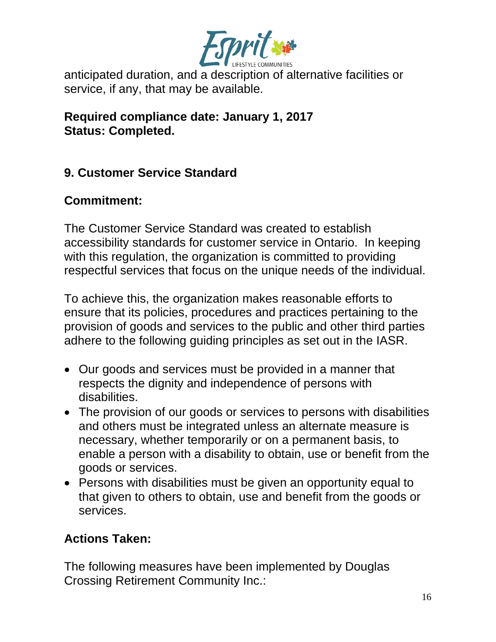

anticipated duration, and a description of alternative facilities or service, if any, that may be available.

**Required compliance date: January 1, 2017 Status: Completed.**

### **9. Customer Service Standard**

### **Commitment:**

The Customer Service Standard was created to establish accessibility standards for customer service in Ontario. In keeping with this regulation, the organization is committed to providing respectful services that focus on the unique needs of the individual.

To achieve this, the organization makes reasonable efforts to ensure that its policies, procedures and practices pertaining to the provision of goods and services to the public and other third parties adhere to the following guiding principles as set out in the IASR.

- Our goods and services must be provided in a manner that respects the dignity and independence of persons with disabilities.
- The provision of our goods or services to persons with disabilities and others must be integrated unless an alternate measure is necessary, whether temporarily or on a permanent basis, to enable a person with a disability to obtain, use or benefit from the goods or services.
- Persons with disabilities must be given an opportunity equal to that given to others to obtain, use and benefit from the goods or services.

# **Actions Taken:**

The following measures have been implemented by Douglas Crossing Retirement Community Inc.: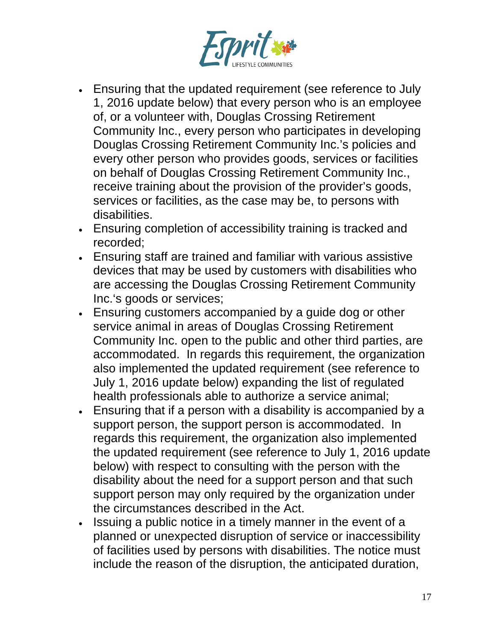

- Ensuring that the updated requirement (see reference to July 1, 2016 update below) that every person who is an employee of, or a volunteer with, Douglas Crossing Retirement Community Inc., every person who participates in developing Douglas Crossing Retirement Community Inc.'s policies and every other person who provides goods, services or facilities on behalf of Douglas Crossing Retirement Community Inc., receive training about the provision of the provider's goods, services or facilities, as the case may be, to persons with disabilities.
- Ensuring completion of accessibility training is tracked and recorded;
- Ensuring staff are trained and familiar with various assistive devices that may be used by customers with disabilities who are accessing the Douglas Crossing Retirement Community Inc.'s goods or services;
- Ensuring customers accompanied by a guide dog or other service animal in areas of Douglas Crossing Retirement Community Inc. open to the public and other third parties, are accommodated. In regards this requirement, the organization also implemented the updated requirement (see reference to July 1, 2016 update below) expanding the list of regulated health professionals able to authorize a service animal;
- Ensuring that if a person with a disability is accompanied by a support person, the support person is accommodated. In regards this requirement, the organization also implemented the updated requirement (see reference to July 1, 2016 update below) with respect to consulting with the person with the disability about the need for a support person and that such support person may only required by the organization under the circumstances described in the Act.
- Issuing a public notice in a timely manner in the event of a planned or unexpected disruption of service or inaccessibility of facilities used by persons with disabilities. The notice must include the reason of the disruption, the anticipated duration,